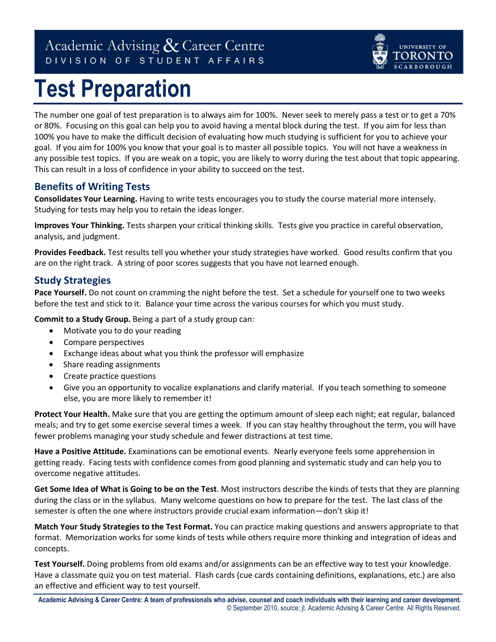# Academic Advising & Career Centre DIVISION OF STUDENT AFFAIRS

# **Test Preparation**

The number one goal of test preparation is to always aim for 100%. Never seek to merely pass a test or to get a 70% or 80%. Focusing on this goal can help you to avoid having a mental block during the test. If you aim for less than 100% you have to make the difficult decision of evaluating how much studying is sufficient for you to achieve your goal. If you aim for 100% you know that your goal is to master all possible topics. You will not have a weakness in any possible test topics. If you are weak on a topic, you are likely to worry during the test about that topic appearing. This can result in a loss of confidence in your ability to succeed on the test.

UNIVERSITY OF

## **Benefits of Writing Tests**

**Consolidates Your Learning.** Having to write tests encourages you to study the course material more intensely. Studying for tests may help you to retain the ideas longer.

**Improves Your Thinking.** Tests sharpen your critical thinking skills. Tests give you practice in careful observation, analysis, and judgment.

**Provides Feedback.** Test results tell you whether your study strategies have worked. Good results confirm that you are on the right track. A string of poor scores suggests that you have not learned enough.

#### **Study Strategies**

**Pace Yourself.** Do not count on cramming the night before the test. Set a schedule for yourself one to two weeks before the test and stick to it. Balance your time across the various courses for which you must study.

**Commit to a Study Group.** Being a part of a study group can:

- Motivate you to do your reading
- Compare perspectives
- Exchange ideas about what you think the professor will emphasize
- Share reading assignments
- Create practice questions
- Give you an opportunity to vocalize explanations and clarify material. If you teach something to someone else, you are more likely to remember it!

**Protect Your Health.** Make sure that you are getting the optimum amount of sleep each night; eat regular, balanced meals; and try to get some exercise several times a week. If you can stay healthy throughout the term, you will have fewer problems managing your study schedule and fewer distractions at test time.

**Have a Positive Attitude.** Examinations can be emotional events. Nearly everyone feels some apprehension in getting ready. Facing tests with confidence comes from good planning and systematic study and can help you to overcome negative attitudes.

**Get Some Idea of What is Going to be on the Test**. Most instructors describe the kinds of tests that they are planning during the class or in the syllabus. Many welcome questions on how to prepare for the test. The last class of the semester is often the one where instructors provide crucial exam information—don't skip it!

**Match Your Study Strategies to the Test Format.** You can practice making questions and answers appropriate to that format. Memorization works for some kinds of tests while others require more thinking and integration of ideas and concepts.

**Test Yourself.** Doing problems from old exams and/or assignments can be an effective way to test your knowledge. Have a classmate quiz you on test material. Flash cards (cue cards containing definitions, explanations, etc.) are also an effective and efficient way to test yourself.